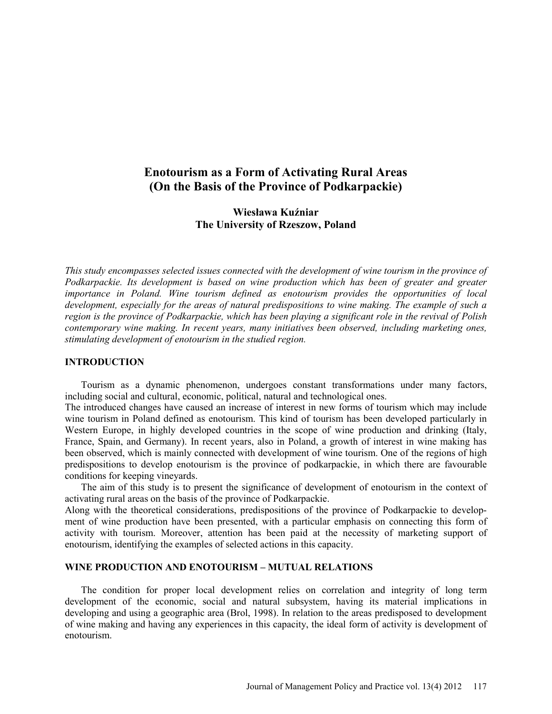# **Enotourism as a Form of Activating Rural Areas (On the Basis of the Province of Podkarpackie)**

## **Wiesława Kuźniar The University of Rzeszow, Poland**

*This study encompasses selected issues connected with the development of wine tourism in the province of Podkarpackie. Its development is based on wine production which has been of greater and greater importance in Poland. Wine tourism defined as enotourism provides the opportunities of local development, especially for the areas of natural predispositions to wine making. The example of such a region is the province of Podkarpackie, which has been playing a significant role in the revival of Polish contemporary wine making. In recent years, many initiatives been observed, including marketing ones, stimulating development of enotourism in the studied region.* 

#### **INTRODUCTION**

Tourism as a dynamic phenomenon, undergoes constant transformations under many factors, including social and cultural, economic, political, natural and technological ones.

The introduced changes have caused an increase of interest in new forms of tourism which may include wine tourism in Poland defined as enotourism. This kind of tourism has been developed particularly in Western Europe, in highly developed countries in the scope of wine production and drinking (Italy, France, Spain, and Germany). In recent years, also in Poland, a growth of interest in wine making has been observed, which is mainly connected with development of wine tourism. One of the regions of high predispositions to develop enotourism is the province of podkarpackie, in which there are favourable conditions for keeping vineyards.

The aim of this study is to present the significance of development of enotourism in the context of activating rural areas on the basis of the province of Podkarpackie.

Along with the theoretical considerations, predispositions of the province of Podkarpackie to development of wine production have been presented, with a particular emphasis on connecting this form of activity with tourism. Moreover, attention has been paid at the necessity of marketing support of enotourism, identifying the examples of selected actions in this capacity.

#### **WINE PRODUCTION AND ENOTOURISM – MUTUAL RELATIONS**

The condition for proper local development relies on correlation and integrity of long term development of the economic, social and natural subsystem, having its material implications in developing and using a geographic area (Brol, 1998). In relation to the areas predisposed to development of wine making and having any experiences in this capacity, the ideal form of activity is development of enotourism.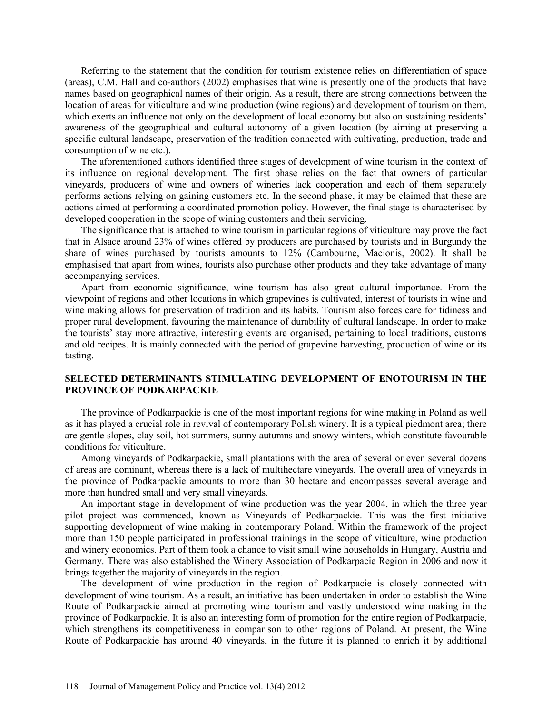Referring to the statement that the condition for tourism existence relies on differentiation of space (areas), C.M. Hall and co-authors (2002) emphasises that wine is presently one of the products that have names based on geographical names of their origin. As a result, there are strong connections between the location of areas for viticulture and wine production (wine regions) and development of tourism on them, which exerts an influence not only on the development of local economy but also on sustaining residents' awareness of the geographical and cultural autonomy of a given location (by aiming at preserving a specific cultural landscape, preservation of the tradition connected with cultivating, production, trade and consumption of wine etc.).

The aforementioned authors identified three stages of development of wine tourism in the context of its influence on regional development. The first phase relies on the fact that owners of particular vineyards, producers of wine and owners of wineries lack cooperation and each of them separately performs actions relying on gaining customers etc. In the second phase, it may be claimed that these are actions aimed at performing a coordinated promotion policy. However, the final stage is characterised by developed cooperation in the scope of wining customers and their servicing.

The significance that is attached to wine tourism in particular regions of viticulture may prove the fact that in Alsace around 23% of wines offered by producers are purchased by tourists and in Burgundy the share of wines purchased by tourists amounts to 12% (Cambourne, Macionis, 2002). It shall be emphasised that apart from wines, tourists also purchase other products and they take advantage of many accompanying services.

Apart from economic significance, wine tourism has also great cultural importance. From the viewpoint of regions and other locations in which grapevines is cultivated, interest of tourists in wine and wine making allows for preservation of tradition and its habits. Tourism also forces care for tidiness and proper rural development, favouring the maintenance of durability of cultural landscape. In order to make the tourists' stay more attractive, interesting events are organised, pertaining to local traditions, customs and old recipes. It is mainly connected with the period of grapevine harvesting, production of wine or its tasting.

#### **SELECTED DETERMINANTS STIMULATING DEVELOPMENT OF ENOTOURISM IN THE PROVINCE OF PODKARPACKIE**

The province of Podkarpackie is one of the most important regions for wine making in Poland as well as it has played a crucial role in revival of contemporary Polish winery. It is a typical piedmont area; there are gentle slopes, clay soil, hot summers, sunny autumns and snowy winters, which constitute favourable conditions for viticulture.

Among vineyards of Podkarpackie, small plantations with the area of several or even several dozens of areas are dominant, whereas there is a lack of multihectare vineyards. The overall area of vineyards in the province of Podkarpackie amounts to more than 30 hectare and encompasses several average and more than hundred small and very small vineyards.

An important stage in development of wine production was the year 2004, in which the three year pilot project was commenced, known as Vineyards of Podkarpackie. This was the first initiative supporting development of wine making in contemporary Poland. Within the framework of the project more than 150 people participated in professional trainings in the scope of viticulture, wine production and winery economics. Part of them took a chance to visit small wine households in Hungary, Austria and Germany. There was also established the Winery Association of Podkarpacie Region in 2006 and now it brings together the majority of vineyards in the region.

The development of wine production in the region of Podkarpacie is closely connected with development of wine tourism. As a result, an initiative has been undertaken in order to establish the Wine Route of Podkarpackie aimed at promoting wine tourism and vastly understood wine making in the province of Podkarpackie. It is also an interesting form of promotion for the entire region of Podkarpacie, which strengthens its competitiveness in comparison to other regions of Poland. At present, the Wine Route of Podkarpackie has around 40 vineyards, in the future it is planned to enrich it by additional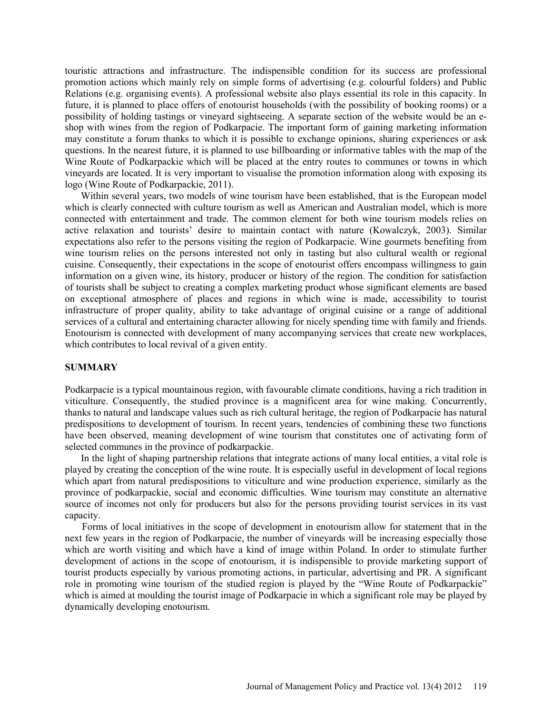touristic attractions and infrastructure. The indispensible condition for its success are professional promotion actions which mainly rely on simple forms of advertising (e.g. colourful folders) and Public Relations (e.g. organising events). A professional website also plays essential its role in this capacity. In future, it is planned to place offers of enotourist households (with the possibility of booking rooms) or a possibility of holding tastings or vineyard sightseeing. A separate section of the website would be an eshop with wines from the region of Podkarpacie. The important form of gaining marketing information may constitute a forum thanks to which it is possible to exchange opinions, sharing experiences or ask questions. In the nearest future, it is planned to use billboarding or informative tables with the map of the Wine Route of Podkarpackie which will be placed at the entry routes to communes or towns in which vineyards are located. It is very important to visualise the promotion information along with exposing its logo (Wine Route of Podkarpackie, 2011).

Within several years, two models of wine tourism have been established, that is the European model which is clearly connected with culture tourism as well as American and Australian model, which is more connected with entertainment and trade. The common element for both wine tourism models relies on active relaxation and tourists' desire to maintain contact with nature (Kowalczyk, 2003). Similar expectations also refer to the persons visiting the region of Podkarpacie. Wine gourmets benefiting from wine tourism relies on the persons interested not only in tasting but also cultural wealth or regional cuisine. Consequently, their expectations in the scope of enotourist offers encompass willingness to gain information on a given wine, its history, producer or history of the region. The condition for satisfaction of tourists shall be subject to creating a complex marketing product whose significant elements are based on exceptional atmosphere of places and regions in which wine is made, accessibility to tourist infrastructure of proper quality, ability to take advantage of original cuisine or a range of additional services of a cultural and entertaining character allowing for nicely spending time with family and friends. Enotourism is connected with development of many accompanying services that create new workplaces, which contributes to local revival of a given entity.

#### **SUMMARY**

Podkarpacie is a typical mountainous region, with favourable climate conditions, having a rich tradition in viticulture. Consequently, the studied province is a magnificent area for wine making. Concurrently, thanks to natural and landscape values such as rich cultural heritage, the region of Podkarpacie has natural predispositions to development of tourism. In recent years, tendencies of combining these two functions have been observed, meaning development of wine tourism that constitutes one of activating form of selected communes in the province of podkarpackie.

In the light of shaping partnership relations that integrate actions of many local entities, a vital role is played by creating the conception of the wine route. It is especially useful in development of local regions which apart from natural predispositions to viticulture and wine production experience, similarly as the province of podkarpackie, social and economic difficulties. Wine tourism may constitute an alternative source of incomes not only for producers but also for the persons providing tourist services in its vast capacity.

Forms of local initiatives in the scope of development in enotourism allow for statement that in the next few years in the region of Podkarpacie, the number of vineyards will be increasing especially those which are worth visiting and which have a kind of image within Poland. In order to stimulate further development of actions in the scope of enotourism, it is indispensible to provide marketing support of tourist products especially by various promoting actions, in particular, advertising and PR. A significant role in promoting wine tourism of the studied region is played by the "Wine Route of Podkarpackie" which is aimed at moulding the tourist image of Podkarpacie in which a significant role may be played by dynamically developing enotourism.